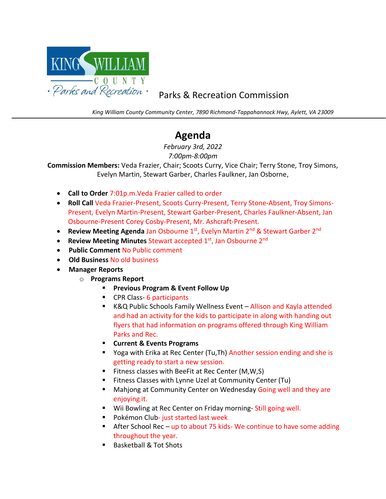

## Parks & Recreation Commission

*King William County Community Center, 7890 Richmond-Tappahannock Hwy, Aylett, VA 23009*

## **Agenda**

*February 3rd, 2022 7:00pm-8:00pm*

**Commission Members:** Veda Frazier, Chair; Scoots Curry, Vice Chair; Terry Stone, Troy Simons, Evelyn Martin, Stewart Garber, Charles Faulkner, Jan Osborne,

- **Call to Order** 7:01p.m.Veda Frazier called to order
- **Roll Call** Veda Frazier-Present, Scoots Curry-Present, Terry Stone-Absent, Troy Simons-Present, Evelyn Martin-Present, Stewart Garber-Present, Charles Faulkner-Absent, Jan Osbourne-Present Corey Cosby-Present, Mr. Ashcraft-Present.
- **Review Meeting Agenda Jan Osbourne 1st, Evelyn Martin 2<sup>nd</sup> & Stewart Garber 2<sup>nd</sup>**
- **Review Meeting Minutes Stewart accepted 1st, Jan Osbourne 2nd**
- • **Public Comment** No Public comment
- • **Old Business** No old business
- • **Manager Reports**
	- o **Programs Report**
		- **Previous Program & Event Follow Up**
		- CPR Class- 6 participants
		- K&Q Public Schools Family Wellness Event Allison and Kayla attended and had an activity for the kids to participate in along with handing out flyers that had information on programs offered through King William Parks and Rec.
		- **Current & Events Programs**
		- Yoga with Erika at Rec Center (Tu, Th) Another session ending and she is getting ready to start a new session.
		- Fitness classes with BeeFit at Rec Center (M,W,S)
		- Fitness Classes with Lynne Uzel at Community Center (Tu)
		- Mahjong at Community Center on Wednesday Going well and they are enjoying it.
		- Wii Bowling at Rec Center on Friday morning-Still going well.
		- Pokémon Club- just started last week
		- **E** After School Rec up to about 75 kids- We continue to have some adding throughout the year.
		- Basketball & Tot Shots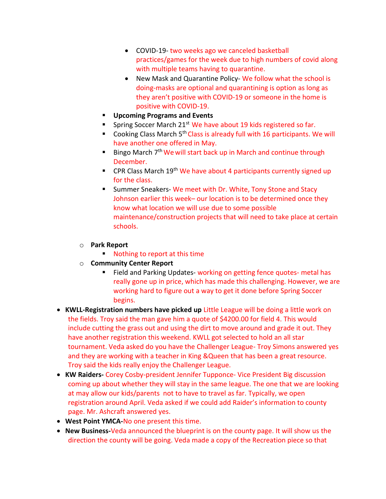- COVID-19- two weeks ago we canceled basketball practices/games for the week due to high numbers of covid along with multiple teams having to quarantine.
- New Mask and Quarantine Policy- We follow what the school is doing-masks are optional and quarantining is option as long as they aren't positive with COVID-19 or someone in the home is positive with COVID-19.
- **Upcoming Programs and Events**
- **F** Spring Soccer March 21<sup>st</sup> We have about 19 kids registered so far.
- Cooking Class March 5<sup>th</sup> Class is already full with 16 participants. We will have another one offered in May.
- Bingo March 7<sup>th</sup> We will start back up in March and continue through December.
- **CPR Class March 19<sup>th</sup> We have about 4 participants currently signed up** for the class.
- Summer Sneakers- We meet with Dr. White, Tony Stone and Stacy Johnson earlier this week– our location is to be determined once they know what location we will use due to some possible maintenance/construction projects that will need to take place at certain schools.
- o **Park Report**
	- Nothing to report at this time
- o **Community Center Report**
	- Field and Parking Updates- working on getting fence quotes- metal has really gone up in price, which has made this challenging. However, we are working hard to figure out a way to get it done before Spring Soccer begins.
- **KWLL-Registration numbers have picked up** Little League will be doing a little work on the fields. Troy said the man gave him a quote of \$4200.00 for field 4. This would include cutting the grass out and using the dirt to move around and grade it out. They have another registration this weekend. KWLL got selected to hold an all star tournament. Veda asked do you have the Challenger League- Troy Simons answered yes and they are working with a teacher in King &Queen that has been a great resource. Troy said the kids really enjoy the Challenger League.
- **KW Raiders-** Corey Cosby-president Jennifer Tupponce- Vice President Big discussion coming up about whether they will stay in the same league. The one that we are looking at may allow our kids/parents not to have to travel as far. Typically, we open registration around April. Veda asked if we could add Raider's information to county page. Mr. Ashcraft answered yes.
- **West Point YMCA-**No one present this time.
- **New Business-**Veda announced the blueprint is on the county page. It will show us the direction the county will be going. Veda made a copy of the Recreation piece so that